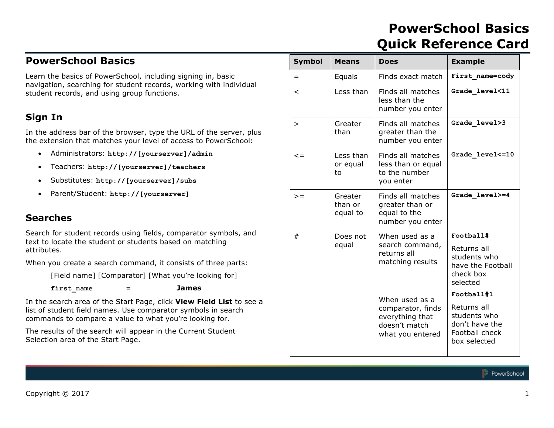# **PowerSchool Basics Quick Reference Card**

# **PowerSchool Basics**

Learn the basics of PowerSchool, including signing in, basic navigation, searching for student records, working with individual student records, and using group functions.

## **Sign In**

In the address bar of the browser, type the URL of the server, plus the extension that matches your level of access to PowerSchool:

- Administrators: **http://[yourserver]/admin**
- Teachers: **http://[yourserver]/teachers**
- Substitutes: **http://[yourserver]/subs**
- Parent/Student: **http://[yourserver]**

## **Searches**

Search for student records using fields, comparator symbols, and text to locate the student or students based on matching attributes.

When you create a search command, it consists of three parts:

[Field name] [Comparator] [What you're looking for]

**first\_name = James**

In the search area of the Start Page, click **View Field List** to see a list of student field names. Use comparator symbols in search commands to compare a value to what you're looking for.

The results of the search will appear in the Current Student Selection area of the Start Page.

| <b>Symbol</b> | <b>Means</b>                   | <b>Does</b>                                                               | <b>Example</b>                                                                  |
|---------------|--------------------------------|---------------------------------------------------------------------------|---------------------------------------------------------------------------------|
| $=$           | Equals                         | Finds exact match                                                         | First name=cody                                                                 |
| $\,<\,$       | Less than                      | Finds all matches<br>less than the<br>number you enter                    | Grade level<11                                                                  |
| >             | Greater<br>than                | Finds all matches<br>greater than the<br>number you enter                 | Grade level>3                                                                   |
| $\leq$ =      | Less than<br>or equal<br>to    | Finds all matches<br>less than or equal<br>to the number<br>you enter     | Grade level <= 10                                                               |
| $\gt$ =       | Greater<br>than or<br>equal to | Finds all matches<br>greater than or<br>equal to the<br>number you enter  | Grade level>=4                                                                  |
| #             | Does not                       | When used as a                                                            | Football#                                                                       |
|               | equal                          | search command,<br>returns all<br>matching results                        | Returns all<br>students who<br>have the Football<br>check box<br>selected       |
|               |                                | When used as a                                                            | Football#1                                                                      |
|               |                                | comparator, finds<br>everything that<br>doesn't match<br>what you entered | Returns all<br>students who<br>don't have the<br>Football check<br>box selected |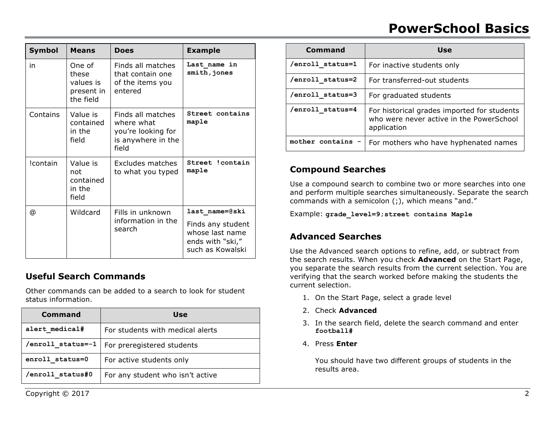# **PowerSchool Basics**

| <b>Symbol</b> | <b>Means</b>                                            | <b>Does</b>                                                                          | <b>Example</b>                                                                                 |
|---------------|---------------------------------------------------------|--------------------------------------------------------------------------------------|------------------------------------------------------------------------------------------------|
| in            | One of<br>these<br>values is<br>present in<br>the field | Finds all matches<br>that contain one<br>of the items you<br>entered                 | Last name in<br>smith, jones                                                                   |
| Contains      | Value is<br>contained<br>in the<br>field                | Finds all matches<br>where what<br>you're looking for<br>is anywhere in the<br>field | Street contains<br>maple                                                                       |
| !contain      | Value is<br>not<br>contained<br>in the<br>field         | Excludes matches<br>to what you typed                                                | Street !contain<br>maple                                                                       |
| @             | Wildcard                                                | Fills in unknown<br>information in the<br>search                                     | last name=@ski<br>Finds any student<br>whose last name<br>ends with "ski,"<br>such as Kowalski |

## **Useful Search Commands**

Other commands can be added to a search to look for student status information.

| Command           | Use                              |
|-------------------|----------------------------------|
| alert medical#    | For students with medical alerts |
| /enroll status=-1 | For preregistered students       |
| enroll status=0   | For active students only         |
| /enroll status#0  | For any student who isn't active |

| Command          | Use                                                                                                    |  |
|------------------|--------------------------------------------------------------------------------------------------------|--|
| /enroll status=1 | For inactive students only                                                                             |  |
| /enroll status=2 | For transferred-out students                                                                           |  |
| /enroll status=3 | For graduated students                                                                                 |  |
| /enroll status=4 | For historical grades imported for students<br>who were never active in the PowerSchool<br>application |  |
| mother contains  | For mothers who have hyphenated names                                                                  |  |

## **Compound Searches**

Use a compound search to combine two or more searches into one and perform multiple searches simultaneously. Separate the search commands with a semicolon (;), which means "and."

Example: **grade\_level=9;street contains Maple**

## **Advanced Searches**

Use the Advanced search options to refine, add, or subtract from the search results. When you check **Advanced** on the Start Page, you separate the search results from the current selection. You are verifying that the search worked before making the students the current selection.

- 1. On the Start Page, select a grade level
- 2. Check **Advanced**
- 3. In the search field, delete the search command and enter **football#**
- 4. Press **Enter**

You should have two different groups of students in the results area.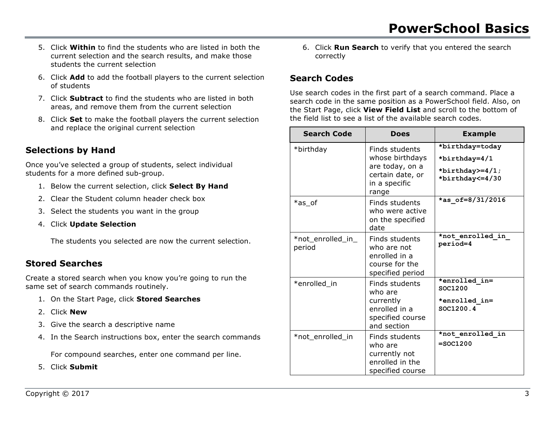- 5. Click **Within** to find the students who are listed in both the current selection and the search results, and make those students the current selection
- 6. Click **Add** to add the football players to the current selection of students
- 7. Click **Subtract** to find the students who are listed in both areas, and remove them from the current selection
- 8. Click **Set** to make the football players the current selection and replace the original current selection

# **Selections by Hand**

Once you've selected a group of students, select individual students for a more defined sub-group.

- 1. Below the current selection, click **Select By Hand**
- 2. Clear the Student column header check box
- 3. Select the students you want in the group
- 4. Click **Update Selection**

The students you selected are now the current selection.

## **Stored Searches**

Create a stored search when you know you're going to run the same set of search commands routinely.

- 1. On the Start Page, click **Stored Searches**
- 2. Click **New**
- 3. Give the search a descriptive name
- 4. In the Search instructions box, enter the search commands

For compound searches, enter one command per line.

5. Click **Submit**

6. Click **Run Search** to verify that you entered the search correctly

# **Search Codes**

Use search codes in the first part of a search command. Place a search code in the same position as a PowerSchool field. Also, on the Start Page, click **View Field List** and scroll to the bottom of the field list to see a list of the available search codes.

| <b>Search Code</b>          | <b>Does</b>                                                                                        | <b>Example</b>                                                           |
|-----------------------------|----------------------------------------------------------------------------------------------------|--------------------------------------------------------------------------|
| *birthday                   | Finds students<br>whose birthdays<br>are today, on a<br>certain date, or<br>in a specific<br>range | *birthday=today<br>*birthday=4/1<br>*birthday>=4/1;<br>*birthday <= 4/30 |
| *as of                      | Finds students<br>who were active<br>on the specified<br>date                                      | *as of=8/31/2016                                                         |
| *not_enrolled_in_<br>period | Finds students<br>who are not<br>enrolled in a<br>course for the<br>specified period               | *not enrolled in<br>period=4                                             |
| *enrolled in                | Finds students<br>who are<br>currently<br>enrolled in a<br>specified course<br>and section         | *enrolled in=<br>SOC1200<br>*enrolled in=<br>SOC1200.4                   |
| *not_enrolled_in            | Finds students<br>who are<br>currently not<br>enrolled in the<br>specified course                  | *not enrolled in<br>$=$ SOC1200                                          |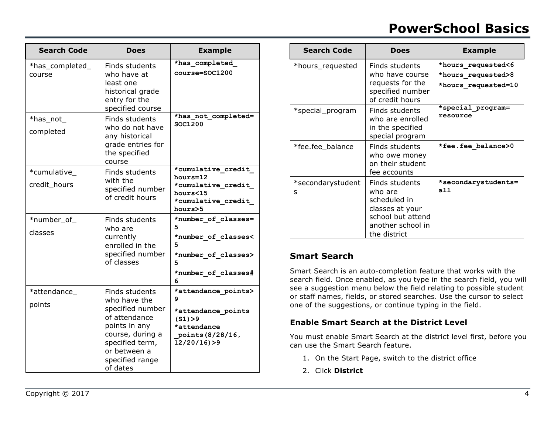# **PowerSchool Basics**

| <b>Search Code</b>          | <b>Does</b>                                                                                                                                                                | <b>Example</b>                                                                                                   |
|-----------------------------|----------------------------------------------------------------------------------------------------------------------------------------------------------------------------|------------------------------------------------------------------------------------------------------------------|
| *has_completed_<br>course   | Finds students<br>who have at<br>least one<br>historical grade<br>entry for the<br>specified course                                                                        | *has completed<br>$course = SOC1200$                                                                             |
| *has_not_<br>completed      | Finds students<br>who do not have<br>any historical<br>grade entries for<br>the specified<br>course                                                                        | *has not completed=<br>SOC1200                                                                                   |
| *cumulative<br>credit_hours | Finds students<br>with the<br>specified number<br>of credit hours                                                                                                          | *cumulative credit<br>hours=12<br>*cumulative credit<br>hours<15<br>*cumulative credit<br>hours>5                |
| *number_of_<br>classes      | Finds students<br>who are<br>currently<br>enrolled in the<br>specified number<br>of classes                                                                                | *number of classes=<br>5<br>*number of classes<<br>5<br>*number of classes><br>5<br>*number of classes#<br>6     |
| *attendance_<br>points      | Finds students<br>who have the<br>specified number<br>of attendance<br>points in any<br>course, during a<br>specified term,<br>or between a<br>specified range<br>of dates | *attendance points><br>9<br>*attendance points<br>(S1) > 9<br>*attendance<br>points (8/28/16,<br>$12/20/16$ ) >9 |

| <b>Search Code</b>     | <b>Does</b>                                                                                                            | <b>Example</b>                                                  |
|------------------------|------------------------------------------------------------------------------------------------------------------------|-----------------------------------------------------------------|
| *hours_requested       | Finds students<br>who have course<br>requests for the<br>specified number<br>of credit hours                           | *hours requested<6<br>*hours requested>8<br>*hours requested=10 |
| *special_program       | Finds students<br>who are enrolled<br>in the specified<br>special program                                              | *special program=<br>resource                                   |
| *fee.fee_balance       | Finds students<br>who owe money<br>on their student<br>fee accounts                                                    | *fee.fee balance>0                                              |
| *secondarystudent<br>S | Finds students<br>who are<br>scheduled in<br>classes at your<br>school but attend<br>another school in<br>the district | *secondarystudents=<br>a11                                      |

### **Smart Search**

Smart Search is an auto-completion feature that works with the search field. Once enabled, as you type in the search field, you will see a suggestion menu below the field relating to possible student or staff names, fields, or stored searches. Use the cursor to select one of the suggestions, or continue typing in the field.

#### **Enable Smart Search at the District Level**

You must enable Smart Search at the district level first, before you can use the Smart Search feature.

- 1. On the Start Page, switch to the district office
- 2. Click **District**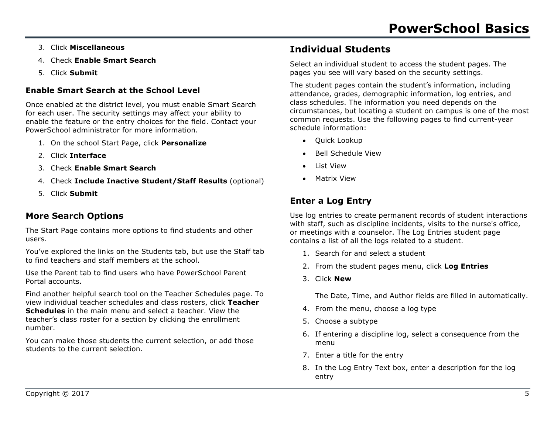- 3. Click **Miscellaneous**
- 4. Check **Enable Smart Search**
- 5. Click **Submit**

## **Enable Smart Search at the School Level**

Once enabled at the district level, you must enable Smart Search for each user. The security settings may affect your ability to enable the feature or the entry choices for the field. Contact your PowerSchool administrator for more information.

- 1. On the school Start Page, click **Personalize**
- 2. Click **Interface**
- 3. Check **Enable Smart Search**
- 4. Check **Include Inactive Student/Staff Results** (optional)
- 5. Click **Submit**

## **More Search Options**

The Start Page contains more options to find students and other users.

You've explored the links on the Students tab, but use the Staff tab to find teachers and staff members at the school.

Use the Parent tab to find users who have PowerSchool Parent Portal accounts.

Find another helpful search tool on the Teacher Schedules page. To view individual teacher schedules and class rosters, click **Teacher Schedules** in the main menu and select a teacher. View the teacher's class roster for a section by clicking the enrollment number.

You can make those students the current selection, or add those students to the current selection.

# **Individual Students**

Select an individual student to access the student pages. The pages you see will vary based on the security settings.

The student pages contain the student's information, including attendance, grades, demographic information, log entries, and class schedules. The information you need depends on the circumstances, but locating a student on campus is one of the most common requests. Use the following pages to find current-year schedule information:

- Quick Lookup
- Bell Schedule View
- List View
- Matrix View

# **Enter a Log Entry**

Use log entries to create permanent records of student interactions with staff, such as discipline incidents, visits to the nurse's office, or meetings with a counselor. The Log Entries student page contains a list of all the logs related to a student.

- 1. Search for and select a student
- 2. From the student pages menu, click **Log Entries**
- 3. Click **New**

The Date, Time, and Author fields are filled in automatically.

- 4. From the menu, choose a log type
- 5. Choose a subtype
- 6. If entering a discipline log, select a consequence from the menu
- 7. Enter a title for the entry
- 8. In the Log Entry Text box, enter a description for the log entry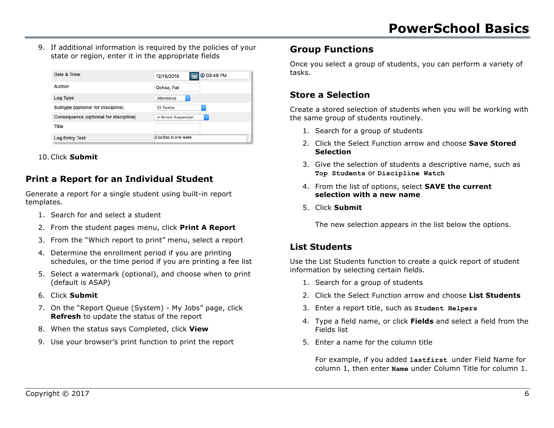9. If additional information is required by the policies of your state or region, enter it in the appropriate fields

| Date & Time                                  | @ 03:48 PM<br>⊞<br>12/19/2016          |
|----------------------------------------------|----------------------------------------|
| Author                                       | Ochoa, Pat                             |
| <b>Log Type</b>                              | $\Diamond$<br>Attendance               |
| Subtype (optional for discipline)            | $\Diamond$<br>03 Tardies               |
| <b>Consequence (optional for discipline)</b> | In School Suspension<br>$\ddot{\circ}$ |
| <b>Title</b>                                 |                                        |
| <b>Log Entry Text</b>                        | 3 tardies in one week                  |

10.Click **Submit**

## **Print a Report for an Individual Student**

Generate a report for a single student using built-in report templates.

- 1. Search for and select a student
- 2. From the student pages menu, click **Print A Report**
- 3. From the "Which report to print" menu, select a report
- 4. Determine the enrollment period if you are printing schedules, or the time period if you are printing a fee list
- 5. Select a watermark (optional), and choose when to print (default is ASAP)
- 6. Click **Submit**
- 7. On the "Report Queue (System) My Jobs" page, click **Refresh** to update the status of the report
- 8. When the status says Completed, click **View**
- 9. Use your browser's print function to print the report

## **Group Functions**

Once you select a group of students, you can perform a variety of tasks.

## **Store a Selection**

Create a stored selection of students when you will be working with the same group of students routinely.

- 1. Search for a group of students
- 2. Click the Select Function arrow and choose **Save Stored Selection**
- 3. Give the selection of students a descriptive name, such as **Top Students** or **Discipline Watch**
- 4. From the list of options, select **SAVE the current selection with a new name**
- 5. Click **Submit**

The new selection appears in the list below the options.

## **List Students**

Use the List Students function to create a quick report of student information by selecting certain fields.

- 1. Search for a group of students
- 2. Click the Select Function arrow and choose **List Students**
- 3. Enter a report title, such as **Student Helpers**
- 4. Type a field name, or click **Fields** and select a field from the Fields list
- 5. Enter a name for the column title

For example, if you added **lastfirst** under Field Name for column 1, then enter **Name** under Column Title for column 1.